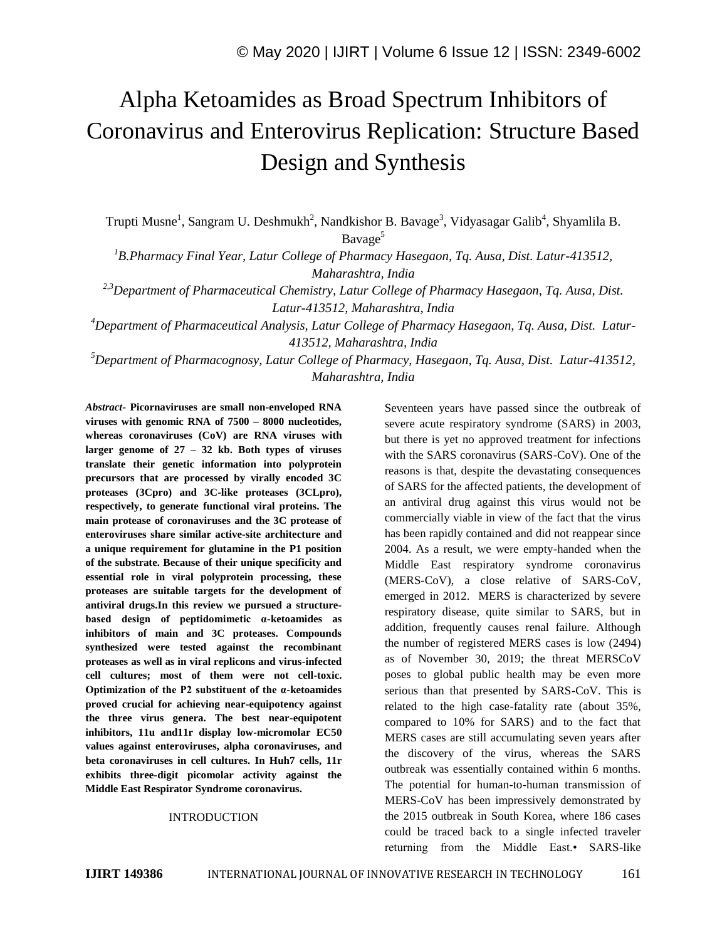# Alpha Ketoamides as Broad Spectrum Inhibitors of Coronavirus and Enterovirus Replication: Structure Based Design and Synthesis

Trupti Musne<sup>1</sup>, Sangram U. Deshmukh<sup>2</sup>, Nandkishor B. Bavage<sup>3</sup>, Vidyasagar Galib<sup>4</sup>, Shyamlila B. Bavage<sup>5</sup>

*<sup>1</sup>B.Pharmacy Final Year, Latur College of Pharmacy Hasegaon, Tq. Ausa, Dist. Latur-413512, Maharashtra, India*

*2,3Department of Pharmaceutical Chemistry, Latur College of Pharmacy Hasegaon, Tq. Ausa, Dist. Latur-413512, Maharashtra, India*

*<sup>4</sup>Department of Pharmaceutical Analysis, Latur College of Pharmacy Hasegaon, Tq. Ausa, Dist. Latur-413512, Maharashtra, India*

*<sup>5</sup>Department of Pharmacognosy, Latur College of Pharmacy, Hasegaon, Tq. Ausa, Dist. Latur-413512, Maharashtra, India*

*Abstract*- **Picornaviruses are small non-enveloped RNA viruses with genomic RNA of 7500 – 8000 nucleotides, whereas coronaviruses (CoV) are RNA viruses with larger genome of 27 – 32 kb. Both types of viruses translate their genetic information into polyprotein precursors that are processed by virally encoded 3C proteases (3Cpro) and 3C-like proteases (3CLpro), respectively, to generate functional viral proteins. The main protease of coronaviruses and the 3C protease of enteroviruses share similar active-site architecture and a unique requirement for glutamine in the P1 position of the substrate. Because of their unique specificity and essential role in viral polyprotein processing, these proteases are suitable targets for the development of antiviral drugs.In this review we pursued a structurebased design of peptidomimetic α-ketoamides as inhibitors of main and 3C proteases. Compounds synthesized were tested against the recombinant proteases as well as in viral replicons and virus-infected cell cultures; most of them were not cell-toxic. Optimization of the P2 substituent of the α-ketoamides proved crucial for achieving near-equipotency against the three virus genera. The best near-equipotent inhibitors, 11u and11r display low-micromolar EC50 values against enteroviruses, alpha coronaviruses, and beta coronaviruses in cell cultures. In Huh7 cells, 11r exhibits three-digit picomolar activity against the Middle East Respirator Syndrome coronavirus.**

# INTRODUCTION

Seventeen years have passed since the outbreak of severe acute respiratory syndrome (SARS) in 2003, but there is yet no approved treatment for infections with the SARS coronavirus (SARS-CoV). One of the reasons is that, despite the devastating consequences of SARS for the affected patients, the development of an antiviral drug against this virus would not be commercially viable in view of the fact that the virus has been rapidly contained and did not reappear since 2004. As a result, we were empty-handed when the Middle East respiratory syndrome coronavirus (MERS-CoV), a close relative of SARS-CoV, emerged in 2012. MERS is characterized by severe respiratory disease, quite similar to SARS, but in addition, frequently causes renal failure. Although the number of registered MERS cases is low (2494) as of November 30, 2019; the threat MERSCoV poses to global public health may be even more serious than that presented by SARS-CoV. This is related to the high case-fatality rate (about 35%, compared to 10% for SARS) and to the fact that MERS cases are still accumulating seven years after the discovery of the virus, whereas the SARS outbreak was essentially contained within 6 months. The potential for human-to-human transmission of MERS-CoV has been impressively demonstrated by the 2015 outbreak in South Korea, where 186 cases could be traced back to a single infected traveler returning from the Middle East.• SARS-like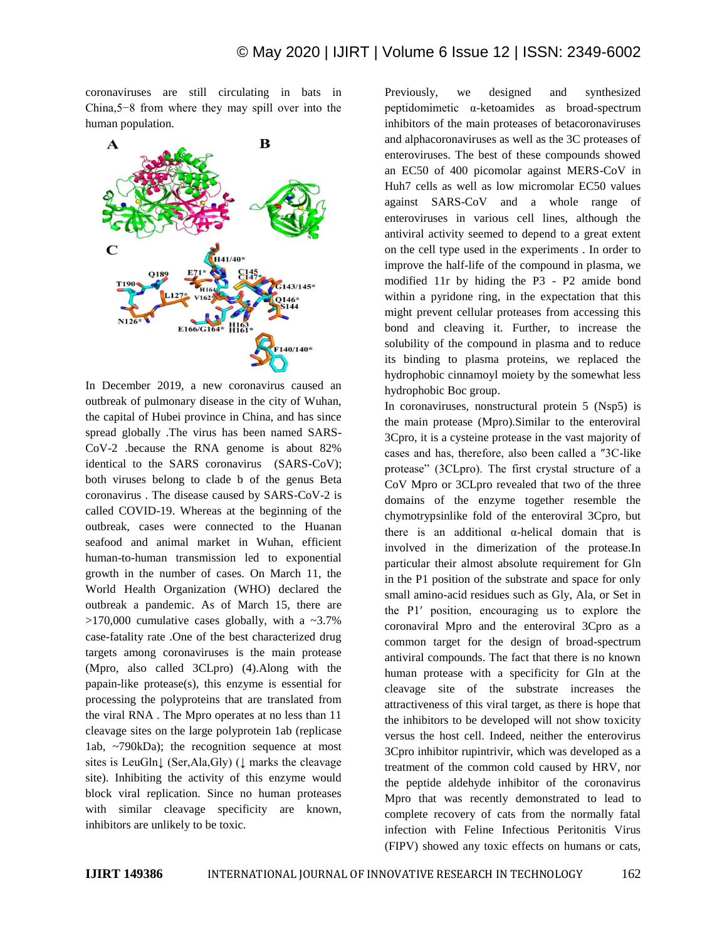coronaviruses are still circulating in bats in China,5−8 from where they may spill over into the human population.



In December 2019, a new coronavirus caused an outbreak of pulmonary disease in the city of Wuhan, the capital of Hubei province in China, and has since spread globally .The virus has been named SARS-CoV-2 .because the RNA genome is about 82% identical to the SARS coronavirus (SARS-CoV); both viruses belong to clade b of the genus Beta coronavirus . The disease caused by SARS-CoV-2 is called COVID-19. Whereas at the beginning of the outbreak, cases were connected to the Huanan seafood and animal market in Wuhan, efficient human-to-human transmission led to exponential growth in the number of cases. On March 11, the World Health Organization (WHO) declared the outbreak a pandemic. As of March 15, there are  $>170,000$  cumulative cases globally, with a  $\sim 3.7\%$ case-fatality rate .One of the best characterized drug targets among coronaviruses is the main protease (Mpro, also called 3CLpro) (4).Along with the papain-like protease(s), this enzyme is essential for processing the polyproteins that are translated from the viral RNA . The Mpro operates at no less than 11 cleavage sites on the large polyprotein 1ab (replicase 1ab, ~790kDa); the recognition sequence at most sites is LeuGln↓ (Ser,Ala,Gly) (↓ marks the cleavage site). Inhibiting the activity of this enzyme would block viral replication. Since no human proteases with similar cleavage specificity are known, inhibitors are unlikely to be toxic.

Previously, we designed and synthesized peptidomimetic α-ketoamides as broad-spectrum inhibitors of the main proteases of betacoronaviruses and alphacoronaviruses as well as the 3C proteases of enteroviruses. The best of these compounds showed an EC50 of 400 picomolar against MERS-CoV in Huh7 cells as well as low micromolar EC50 values against SARS-CoV and a whole range of enteroviruses in various cell lines, although the antiviral activity seemed to depend to a great extent on the cell type used in the experiments . In order to improve the half-life of the compound in plasma, we modified 11r by hiding the P3 - P2 amide bond within a pyridone ring, in the expectation that this might prevent cellular proteases from accessing this bond and cleaving it. Further, to increase the solubility of the compound in plasma and to reduce its binding to plasma proteins, we replaced the hydrophobic cinnamoyl moiety by the somewhat less hydrophobic Boc group.

In coronaviruses, nonstructural protein 5 (Nsp5) is the main protease (Mpro).Similar to the enteroviral 3Cpro, it is a cysteine protease in the vast majority of cases and has, therefore, also been called a ″3C-like protease" (3CLpro). The first crystal structure of a CoV Mpro or 3CLpro revealed that two of the three domains of the enzyme together resemble the chymotrypsinlike fold of the enteroviral 3Cpro, but there is an additional α-helical domain that is involved in the dimerization of the protease.In particular their almost absolute requirement for Gln in the P1 position of the substrate and space for only small amino-acid residues such as Gly, Ala, or Set in the P1′ position, encouraging us to explore the coronaviral Mpro and the enteroviral 3Cpro as a common target for the design of broad-spectrum antiviral compounds. The fact that there is no known human protease with a specificity for Gln at the cleavage site of the substrate increases the attractiveness of this viral target, as there is hope that the inhibitors to be developed will not show toxicity versus the host cell. Indeed, neither the enterovirus 3Cpro inhibitor rupintrivir, which was developed as a treatment of the common cold caused by HRV, nor the peptide aldehyde inhibitor of the coronavirus Mpro that was recently demonstrated to lead to complete recovery of cats from the normally fatal infection with Feline Infectious Peritonitis Virus (FIPV) showed any toxic effects on humans or cats,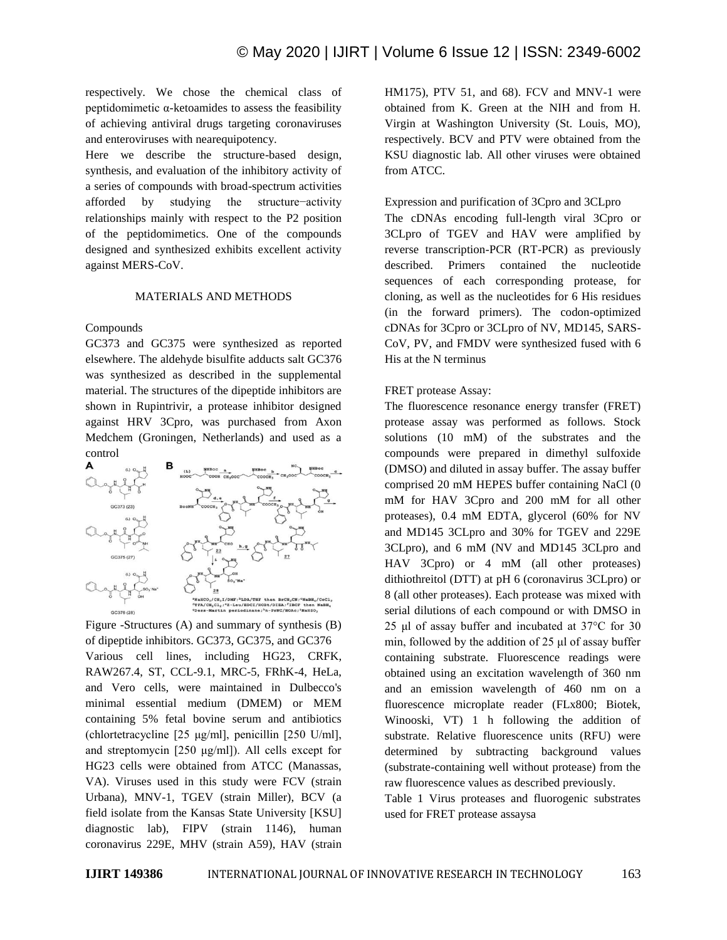respectively. We chose the chemical class of peptidomimetic α-ketoamides to assess the feasibility of achieving antiviral drugs targeting coronaviruses and enteroviruses with nearequipotency.

Here we describe the structure-based design, synthesis, and evaluation of the inhibitory activity of a series of compounds with broad-spectrum activities afforded by studying the structure−activity relationships mainly with respect to the P2 position of the peptidomimetics. One of the compounds designed and synthesized exhibits excellent activity against MERS-CoV.

### MATERIALS AND METHODS

Compounds

GC373 and GC375 were synthesized as reported elsewhere. The aldehyde bisulfite adducts salt GC376 was synthesized as described in the supplemental material. The structures of the dipeptide inhibitors are shown in Rupintrivir, a protease inhibitor designed against HRV 3Cpro, was purchased from Axon Medchem (Groningen, Netherlands) and used as a control



Figure -Structures (A) and summary of synthesis (B) of dipeptide inhibitors. GC373, GC375, and GC376 Various cell lines, including HG23, CRFK, RAW267.4, ST, CCL-9.1, MRC-5, FRhK-4, HeLa, and Vero cells, were maintained in Dulbecco's minimal essential medium (DMEM) or MEM containing 5% fetal bovine serum and antibiotics (chlortetracycline [25 μg/ml], penicillin [250 U/ml], and streptomycin [250 μg/ml]). All cells except for HG23 cells were obtained from ATCC (Manassas, VA). Viruses used in this study were FCV (strain Urbana), MNV-1, TGEV (strain Miller), BCV (a field isolate from the Kansas State University [KSU] diagnostic lab), FIPV (strain 1146), human coronavirus 229E, MHV (strain A59), HAV (strain HM175), PTV 51, and 68). FCV and MNV-1 were obtained from K. Green at the NIH and from H. Virgin at Washington University (St. Louis, MO), respectively. BCV and PTV were obtained from the KSU diagnostic lab. All other viruses were obtained from ATCC.

# Expression and purification of 3Cpro and 3CLpro

The cDNAs encoding full-length viral 3Cpro or 3CLpro of TGEV and HAV were amplified by reverse transcription-PCR (RT-PCR) as previously described. Primers contained the nucleotide sequences of each corresponding protease, for cloning, as well as the nucleotides for 6 His residues (in the forward primers). The codon-optimized cDNAs for 3Cpro or 3CLpro of NV, MD145, SARS-CoV, PV, and FMDV were synthesized fused with 6 His at the N terminus

# FRET protease Assay:

The fluorescence resonance energy transfer (FRET) protease assay was performed as follows. Stock solutions (10 mM) of the substrates and the compounds were prepared in dimethyl sulfoxide (DMSO) and diluted in assay buffer. The assay buffer comprised 20 mM HEPES buffer containing NaCl (0 mM for HAV 3Cpro and 200 mM for all other proteases), 0.4 mM EDTA, glycerol (60% for NV and MD145 3CLpro and 30% for TGEV and 229E 3CLpro), and 6 mM (NV and MD145 3CLpro and HAV 3Cpro) or 4 mM (all other proteases) dithiothreitol (DTT) at pH 6 (coronavirus 3CLpro) or 8 (all other proteases). Each protease was mixed with serial dilutions of each compound or with DMSO in 25 μl of assay buffer and incubated at 37°C for 30 min, followed by the addition of 25 μl of assay buffer containing substrate. Fluorescence readings were obtained using an excitation wavelength of 360 nm and an emission wavelength of 460 nm on a fluorescence microplate reader (FLx800; Biotek, Winooski, VT) 1 h following the addition of substrate. Relative fluorescence units (RFU) were determined by subtracting background values (substrate-containing well without protease) from the raw fluorescence values as described previously.

Table 1 Virus proteases and fluorogenic substrates used for FRET protease assaysa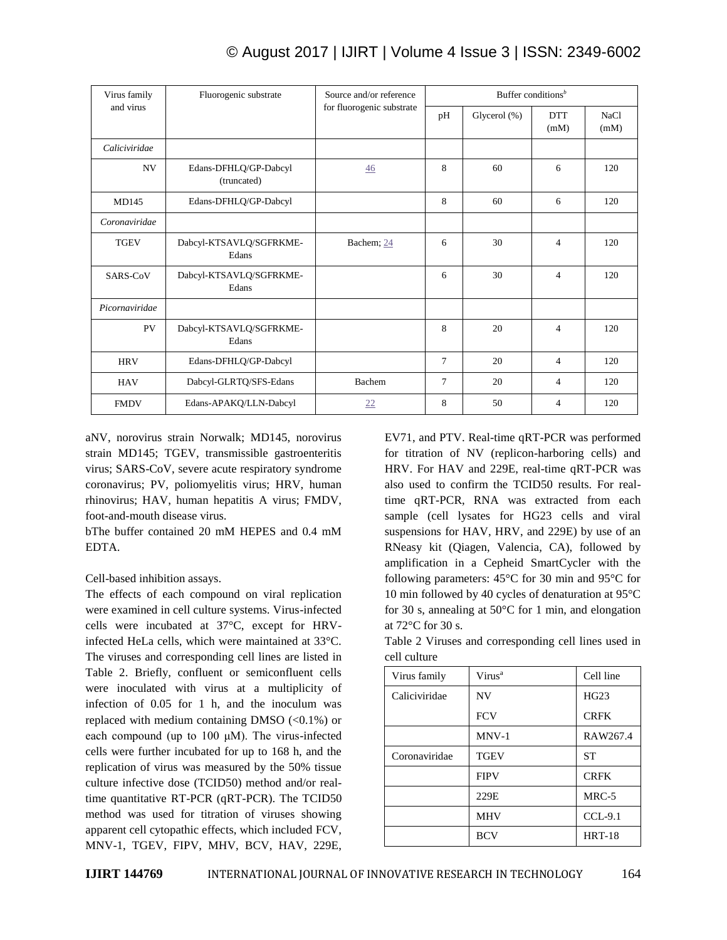| anu viius      |                                      | TOI HUOIOgenic substrate | pН             | Glycerol (%) | <b>DTT</b><br>(mM) | NaCl<br>(mM) |
|----------------|--------------------------------------|--------------------------|----------------|--------------|--------------------|--------------|
| Caliciviridae  |                                      |                          |                |              |                    |              |
| NV.            | Edans-DFHLQ/GP-Dabcyl<br>(truncated) | $\frac{46}{5}$           | 8              | 60           | 6                  | 120          |
| MD145          | Edans-DFHLQ/GP-Dabcyl                |                          | 8              | 60           | 6                  | 120          |
| Coronaviridae  |                                      |                          |                |              |                    |              |
| <b>TGEV</b>    | Dabcyl-KTSAVLQ/SGFRKME-<br>Edans     | Bachem; 24               | 6              | 30           | $\overline{4}$     | 120          |
| SARS-CoV       | Dabcyl-KTSAVLQ/SGFRKME-<br>Edans     |                          | 6              | 30           | 4                  | 120          |
| Picornaviridae |                                      |                          |                |              |                    |              |
| PV             | Dabcyl-KTSAVLQ/SGFRKME-<br>Edans     |                          | 8              | 20           | 4                  | 120          |
| <b>HRV</b>     | Edans-DFHLQ/GP-Dabcyl                |                          | 7              | 20           | $\overline{4}$     | 120          |
| <b>HAV</b>     | Dabcyl-GLRTQ/SFS-Edans               | Bachem                   | $\overline{7}$ | 20           | 4                  | 120          |
| <b>FMDV</b>    | Edans-APAKQ/LLN-Dabcyl               | 22                       | 8              | 50           | $\overline{4}$     | 120          |

aNV, norovirus strain Norwalk; MD145, norovirus strain MD145; TGEV, transmissible gastroenteritis virus; SARS-CoV, severe acute respiratory syndrome coronavirus; PV, poliomyelitis virus; HRV, human rhinovirus; HAV, human hepatitis A virus; FMDV, foot-and-mouth disease virus.

bThe buffer contained 20 mM HEPES and 0.4 mM EDTA.

Cell-based inhibition assays.

and virus

The effects of each compound on viral replication were examined in cell culture systems. Virus-infected cells were incubated at 37°C, except for HRVinfected HeLa cells, which were maintained at 33°C. The viruses and corresponding cell lines are listed in Table 2. Briefly, confluent or semiconfluent cells were inoculated with virus at a multiplicity of infection of 0.05 for 1 h, and the inoculum was replaced with medium containing DMSO  $(<0.1\%)$  or each compound (up to 100 μM). The virus-infected cells were further incubated for up to 168 h, and the replication of virus was measured by the 50% tissue culture infective dose (TCID50) method and/or realtime quantitative RT-PCR (qRT-PCR). The TCID50 method was used for titration of viruses showing apparent cell cytopathic effects, which included FCV, MNV-1, TGEV, FIPV, MHV, BCV, HAV, 229E,

EV71, and PTV. Real-time qRT-PCR was performed for titration of NV (replicon-harboring cells) and HRV. For HAV and 229E, real-time qRT-PCR was also used to confirm the TCID50 results. For realtime qRT-PCR, RNA was extracted from each sample (cell lysates for HG23 cells and viral suspensions for HAV, HRV, and 229E) by use of an RNeasy kit (Qiagen, Valencia, CA), followed by amplification in a Cepheid SmartCycler with the following parameters: 45°C for 30 min and 95°C for 10 min followed by 40 cycles of denaturation at 95°C for 30 s, annealing at 50°C for 1 min, and elongation at 72°C for 30 s.

Table 2 Viruses and corresponding cell lines used in cell culture

| Virus family  | Virus <sup>a</sup> | Cell line     |
|---------------|--------------------|---------------|
| Caliciviridae | <b>NV</b>          | HG23          |
|               | <b>FCV</b>         | <b>CRFK</b>   |
|               | $MNV-1$            | RAW267.4      |
| Coronaviridae | <b>TGEV</b>        | <b>ST</b>     |
|               | <b>FIPV</b>        | <b>CRFK</b>   |
|               | 229E               | $MRC-5$       |
|               | <b>MHV</b>         | $CCL-9.1$     |
|               | <b>BCV</b>         | <b>HRT-18</b> |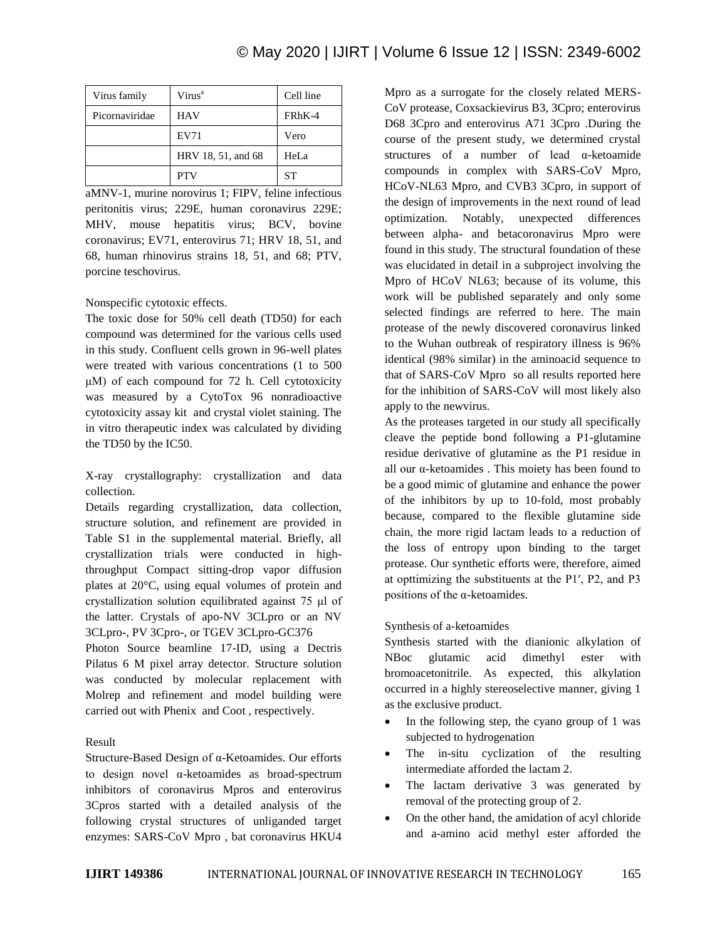| Virus family   | Virus <sup>a</sup> | Cell line |
|----------------|--------------------|-----------|
| Picornaviridae | HAV                | FRhK-4    |
|                | EV71               | Vero      |
|                | HRV 18, 51, and 68 | HeLa      |
|                | <b>PTV</b>         | SТ        |

aMNV-1, murine norovirus 1; FIPV, feline infectious peritonitis virus; 229E, human coronavirus 229E; MHV, mouse hepatitis virus; BCV, bovine coronavirus; EV71, enterovirus 71; HRV 18, 51, and 68, human rhinovirus strains 18, 51, and 68; PTV, porcine teschovirus.

Nonspecific cytotoxic effects.

The toxic dose for 50% cell death (TD50) for each compound was determined for the various cells used in this study. Confluent cells grown in 96-well plates were treated with various concentrations (1 to 500 μM) of each compound for 72 h. Cell cytotoxicity was measured by a CytoTox 96 nonradioactive cytotoxicity assay kit and crystal violet staining. The in vitro therapeutic index was calculated by dividing the TD50 by the IC50.

X-ray crystallography: crystallization and data collection.

Details regarding crystallization, data collection, structure solution, and refinement are provided in Table S1 in the supplemental material. Briefly, all crystallization trials were conducted in highthroughput Compact sitting-drop vapor diffusion plates at 20°C, using equal volumes of protein and crystallization solution equilibrated against 75 μl of the latter. Crystals of apo-NV 3CLpro or an NV 3CLpro-, PV 3Cpro-, or TGEV 3CLpro-GC376

Photon Source beamline 17-ID, using a Dectris Pilatus 6 M pixel array detector. Structure solution was conducted by molecular replacement with Molrep and refinement and model building were carried out with Phenix and Coot , respectively.

# Result

Structure-Based Design of α-Ketoamides. Our efforts to design novel α-ketoamides as broad-spectrum inhibitors of coronavirus Mpros and enterovirus 3Cpros started with a detailed analysis of the following crystal structures of unliganded target enzymes: SARS-CoV Mpro , bat coronavirus HKU4

Mpro as a surrogate for the closely related MERS-CoV protease, Coxsackievirus B3, 3Cpro; enterovirus D68 3Cpro and enterovirus A71 3Cpro .During the course of the present study, we determined crystal structures of a number of lead α-ketoamide compounds in complex with SARS-CoV Mpro, HCoV-NL63 Mpro, and CVB3 3Cpro, in support of the design of improvements in the next round of lead optimization. Notably, unexpected differences between alpha- and betacoronavirus Mpro were found in this study. The structural foundation of these was elucidated in detail in a subproject involving the Mpro of HCoV NL63; because of its volume, this work will be published separately and only some selected findings are referred to here. The main protease of the newly discovered coronavirus linked to the Wuhan outbreak of respiratory illness is 96% identical (98% similar) in the aminoacid sequence to that of SARS-CoV Mpro so all results reported here for the inhibition of SARS-CoV will most likely also apply to the newvirus.

As the proteases targeted in our study all specifically cleave the peptide bond following a P1-glutamine residue derivative of glutamine as the P1 residue in all our α-ketoamides . This moiety has been found to be a good mimic of glutamine and enhance the power of the inhibitors by up to 10-fold, most probably because, compared to the flexible glutamine side chain, the more rigid lactam leads to a reduction of the loss of entropy upon binding to the target protease. Our synthetic efforts were, therefore, aimed at opttimizing the substituents at the P1′, P2, and P3 positions of the α-ketoamides.

# Synthesis of a-ketoamides

Synthesis started with the dianionic alkylation of NBoc glutamic acid dimethyl ester with bromoacetonitrile. As expected, this alkylation occurred in a highly stereoselective manner, giving 1 as the exclusive product.

- In the following step, the cyano group of 1 was subjected to hydrogenation
- The in-situ cyclization of the resulting intermediate afforded the lactam 2.
- The lactam derivative 3 was generated by removal of the protecting group of 2.
- On the other hand, the amidation of acyl chloride and a-amino acid methyl ester afforded the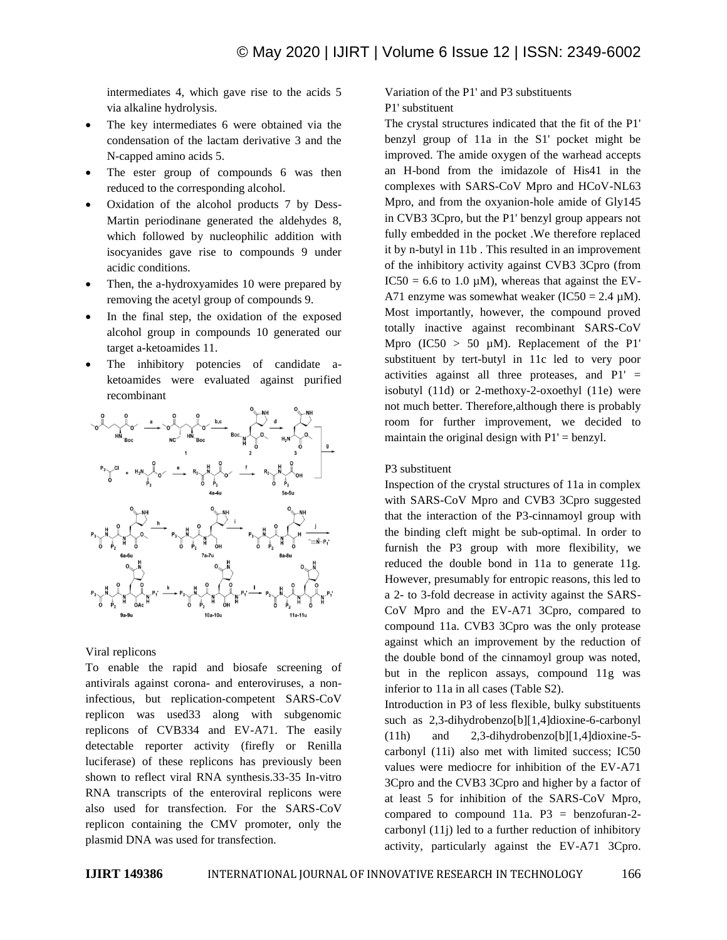intermediates 4, which gave rise to the acids 5 via alkaline hydrolysis.

- The key intermediates 6 were obtained via the condensation of the lactam derivative 3 and the N-capped amino acids 5.
- The ester group of compounds 6 was then reduced to the corresponding alcohol.
- Oxidation of the alcohol products 7 by Dess-Martin periodinane generated the aldehydes 8, which followed by nucleophilic addition with isocyanides gave rise to compounds 9 under acidic conditions.
- Then, the a-hydroxyamides 10 were prepared by removing the acetyl group of compounds 9.
- In the final step, the oxidation of the exposed alcohol group in compounds 10 generated our target a-ketoamides 11.
- The inhibitory potencies of candidate aketoamides were evaluated against purified recombinant



# Viral replicons

To enable the rapid and biosafe screening of antivirals against corona- and enteroviruses, a noninfectious, but replication-competent SARS-CoV replicon was used33 along with subgenomic replicons of CVB334 and EV-A71. The easily detectable reporter activity (firefly or Renilla luciferase) of these replicons has previously been shown to reflect viral RNA synthesis.33-35 In-vitro RNA transcripts of the enteroviral replicons were also used for transfection. For the SARS-CoV replicon containing the CMV promoter, only the plasmid DNA was used for transfection.

Variation of the P1' and P3 substituents P1' substituent

The crystal structures indicated that the fit of the P1' benzyl group of 11a in the S1' pocket might be improved. The amide oxygen of the warhead accepts an H-bond from the imidazole of His41 in the complexes with SARS-CoV Mpro and HCoV-NL63 Mpro, and from the oxyanion-hole amide of Gly145 in CVB3 3Cpro, but the P1' benzyl group appears not fully embedded in the pocket .We therefore replaced it by n-butyl in 11b . This resulted in an improvement of the inhibitory activity against CVB3 3Cpro (from IC50 = 6.6 to 1.0  $\mu$ M), whereas that against the EV-A71 enzyme was somewhat weaker (IC50 =  $2.4 \mu$ M). Most importantly, however, the compound proved totally inactive against recombinant SARS-CoV Mpro  $(IC50 > 50 \mu M)$ . Replacement of the P1' substituent by tert-butyl in 11c led to very poor activities against all three proteases, and  $PI' =$ isobutyl (11d) or 2-methoxy-2-oxoethyl (11e) were not much better. Therefore,although there is probably room for further improvement, we decided to maintain the original design with  $P1' = \text{benzyl}$ .

#### P3 substituent

Inspection of the crystal structures of 11a in complex with SARS-CoV Mpro and CVB3 3Cpro suggested that the interaction of the P3-cinnamoyl group with the binding cleft might be sub-optimal. In order to furnish the P3 group with more flexibility, we reduced the double bond in 11a to generate 11g. However, presumably for entropic reasons, this led to a 2- to 3-fold decrease in activity against the SARS-CoV Mpro and the EV-A71 3Cpro, compared to compound 11a. CVB3 3Cpro was the only protease against which an improvement by the reduction of the double bond of the cinnamoyl group was noted, but in the replicon assays, compound 11g was inferior to 11a in all cases (Table S2).

Introduction in P3 of less flexible, bulky substituents such as 2,3-dihydrobenzo[b][1,4]dioxine-6-carbonyl (11h) and 2,3-dihydrobenzo[b][1,4]dioxine-5 carbonyl (11i) also met with limited success; IC50 values were mediocre for inhibition of the EV-A71 3Cpro and the CVB3 3Cpro and higher by a factor of at least 5 for inhibition of the SARS-CoV Mpro, compared to compound 11a.  $P3 = \text{benzofuran-2}$ carbonyl (11j) led to a further reduction of inhibitory activity, particularly against the EV-A71 3Cpro.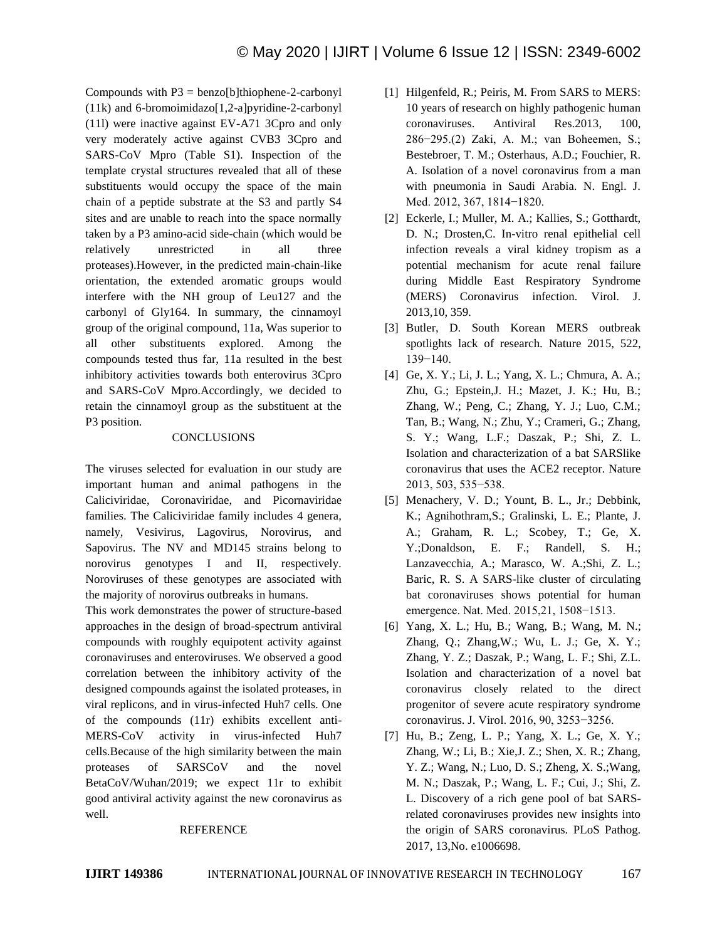Compounds with  $P3 = \text{benzo}[b]$ thiophene-2-carbonyl (11k) and 6-bromoimidazo[1,2-a]pyridine-2-carbonyl (11l) were inactive against EV-A71 3Cpro and only very moderately active against CVB3 3Cpro and SARS-CoV Mpro (Table S1). Inspection of the template crystal structures revealed that all of these substituents would occupy the space of the main chain of a peptide substrate at the S3 and partly S4 sites and are unable to reach into the space normally taken by a P3 amino-acid side-chain (which would be relatively unrestricted in all three proteases).However, in the predicted main-chain-like orientation, the extended aromatic groups would interfere with the NH group of Leu127 and the carbonyl of Gly164. In summary, the cinnamoyl group of the original compound, 11a, Was superior to all other substituents explored. Among the compounds tested thus far, 11a resulted in the best inhibitory activities towards both enterovirus 3Cpro and SARS-CoV Mpro.Accordingly, we decided to retain the cinnamoyl group as the substituent at the P3 position.

# **CONCLUSIONS**

The viruses selected for evaluation in our study are important human and animal pathogens in the Caliciviridae, Coronaviridae, and Picornaviridae families. The Caliciviridae family includes 4 genera, namely, Vesivirus, Lagovirus, Norovirus, and Sapovirus. The NV and MD145 strains belong to norovirus genotypes I and II, respectively. Noroviruses of these genotypes are associated with the majority of norovirus outbreaks in humans.

This work demonstrates the power of structure-based approaches in the design of broad-spectrum antiviral compounds with roughly equipotent activity against coronaviruses and enteroviruses. We observed a good correlation between the inhibitory activity of the designed compounds against the isolated proteases, in viral replicons, and in virus-infected Huh7 cells. One of the compounds (11r) exhibits excellent anti-MERS-CoV activity in virus-infected Huh7 cells.Because of the high similarity between the main proteases of SARSCoV and the novel BetaCoV/Wuhan/2019; we expect 11r to exhibit good antiviral activity against the new coronavirus as well.

# REFERENCE

- [1] Hilgenfeld, R.; Peiris, M. From SARS to MERS: 10 years of research on highly pathogenic human coronaviruses. Antiviral Res.2013, 100, 286−295.(2) Zaki, A. M.; van Boheemen, S.; Bestebroer, T. M.; Osterhaus, A.D.; Fouchier, R. A. Isolation of a novel coronavirus from a man with pneumonia in Saudi Arabia. N. Engl. J. Med. 2012, 367, 1814−1820.
- [2] Eckerle, I.; Muller, M. A.; Kallies, S.; Gotthardt, D. N.; Drosten,C. In-vitro renal epithelial cell infection reveals a viral kidney tropism as a potential mechanism for acute renal failure during Middle East Respiratory Syndrome (MERS) Coronavirus infection. Virol. J. 2013,10, 359.
- [3] Butler, D. South Korean MERS outbreak spotlights lack of research. Nature 2015, 522, 139−140.
- [4] Ge, X. Y.; Li, J. L.; Yang, X. L.; Chmura, A. A.; Zhu, G.; Epstein,J. H.; Mazet, J. K.; Hu, B.; Zhang, W.; Peng, C.; Zhang, Y. J.; Luo, C.M.; Tan, B.; Wang, N.; Zhu, Y.; Crameri, G.; Zhang, S. Y.; Wang, L.F.; Daszak, P.; Shi, Z. L. Isolation and characterization of a bat SARSlike coronavirus that uses the ACE2 receptor. Nature 2013, 503, 535−538.
- [5] Menachery, V. D.; Yount, B. L., Jr.; Debbink, K.; Agnihothram,S.; Gralinski, L. E.; Plante, J. A.; Graham, R. L.; Scobey, T.; Ge, X. Y.;Donaldson, E. F.; Randell, S. H.; Lanzavecchia, A.; Marasco, W. A.;Shi, Z. L.; Baric, R. S. A SARS-like cluster of circulating bat coronaviruses shows potential for human emergence. Nat. Med. 2015,21, 1508−1513.
- [6] Yang, X. L.; Hu, B.; Wang, B.; Wang, M. N.; Zhang, Q.; Zhang,W.; Wu, L. J.; Ge, X. Y.; Zhang, Y. Z.; Daszak, P.; Wang, L. F.; Shi, Z.L. Isolation and characterization of a novel bat coronavirus closely related to the direct progenitor of severe acute respiratory syndrome coronavirus. J. Virol. 2016, 90, 3253−3256.
- [7] Hu, B.; Zeng, L. P.; Yang, X. L.; Ge, X. Y.; Zhang, W.; Li, B.; Xie,J. Z.; Shen, X. R.; Zhang, Y. Z.; Wang, N.; Luo, D. S.; Zheng, X. S.;Wang, M. N.; Daszak, P.; Wang, L. F.; Cui, J.; Shi, Z. L. Discovery of a rich gene pool of bat SARSrelated coronaviruses provides new insights into the origin of SARS coronavirus. PLoS Pathog. 2017, 13,No. e1006698.